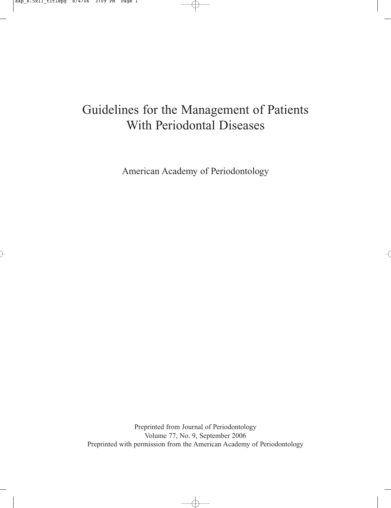### Guidelines for the Management of Patients With Periodontal Diseases

American Academy of Periodontology

Preprinted from Journal of Periodontology Volume 77, No. 9, September 2006 Preprinted with permission from the American Academy of Periodontology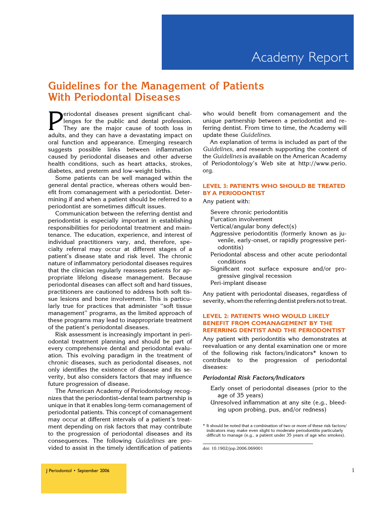### Guidelines for the Management of Patients With Periodontal Diseases

**Periodontal diseases present significant chal-**<br>lenges for the public and dental profession.<br>They are the major cause of tooth loss in<br>adults and they can have a devastating impact on lenges for the public and dental profession. They are the major cause of tooth loss in adults, and they can have a devastating impact on oral function and appearance. Emerging research suggests possible links between inflammation caused by periodontal diseases and other adverse health conditions, such as heart attacks, strokes, diabetes, and preterm and low-weight births.

Some patients can be well managed within the general dental practice, whereas others would benefit from comanagement with a periodontist. Determining if and when a patient should be referred to a periodontist are sometimes difficult issues.

Communication between the referring dentist and periodontist is especially important in establishing responsibilities for periodontal treatment and maintenance. The education, experience, and interest of individual practitioners vary, and, therefore, specialty referral may occur at different stages of a patient's disease state and risk level. The chronic nature of inflammatory periodontal diseases requires that the clinician regularly reassess patients for appropriate lifelong disease management. Because periodontal diseases can affect soft and hard tissues, practitioners are cautioned to address both soft tissue lesions and bone involvement. This is particularly true for practices that administer ''soft tissue management'' programs, as the limited approach of these programs may lead to inappropriate treatment of the patient's periodontal diseases.

Risk assessment is increasingly important in periodontal treatment planning and should be part of every comprehensive dental and periodontal evaluation. This evolving paradigm in the treatment of chronic diseases, such as periodontal diseases, not only identifies the existence of disease and its severity, but also considers factors that may influence future progression of disease.

The American Academy of Periodontology recognizes that the periodontist–dental team partnership is unique in that it enables long-term comanagement of periodontal patients. This concept of comanagement may occur at different intervals of a patient's treatment depending on risk factors that may contribute to the progression of periodontal diseases and its consequences. The following Guidelines are provided to assist in the timely identification of patients who would benefit from comanagement and the unique partnership between a periodontist and referring dentist. From time to time, the Academy will update these Guidelines.

An explanation of terms is included as part of the Guidelines, and research supporting the content of the Guidelines is available on the American Academy of Periodontology's Web site at http://www.perio. org.

#### LEVEL 3: PATIENTS WHO SHOULD BE TREATED BY A PERIODONTIST

Any patient with:

- Severe chronic periodontitis
- Furcation involvement
- Vertical/angular bony defect(s)
- Aggressive periodontitis (formerly known as juvenile, early-onset, or rapidly progressive periodontitis)
- Periodontal abscess and other acute periodontal conditions
- Significant root surface exposure and/or progressive gingival recession
- Peri-implant disease

Any patient with periodontal diseases, regardless of severity, whom the referring dentist prefers not to treat.

#### LEVEL 2: PATIENTS WHO WOULD LIKELY BENEFIT FROM COMANAGEMENT BY THE REFERRING DENTIST AND THE PERIODONTIST

Any patient with periodontitis who demonstrates at reevaluation or any dental examination one or more of the following risk factors/indicators\* known to contribute to the progression of periodontal diseases:

#### Periodontal Risk Factors/Indicators

- Early onset of periodontal diseases (prior to the age of 35 years)
- Unresolved inflammation at any site (e.g., bleeding upon probing, pus, and/or redness)

<sup>\*</sup> It should be noted that a combination of two or more of these risk factors/ indicators may make even slight to moderate periodontitis particularly difficult to manage (e.g., a patient under 35 years of age who smokes).

doi: 10.1902/jop.2006.069001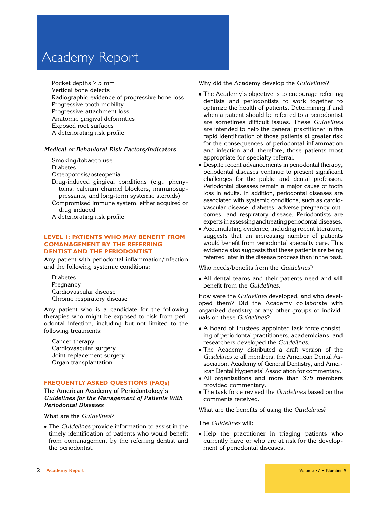# Academy Report

Pocket depths  $\geq 5$  mm Vertical bone defects Radiographic evidence of progressive bone loss Progressive tooth mobility Progressive attachment loss Anatomic gingival deformities Exposed root surfaces A deteriorating risk profile

#### Medical or Behavioral Risk Factors/Indicators

Smoking/tobacco use

Diabetes

Osteoporosis/osteopenia

- Drug-induced gingival conditions (e.g., phenytoins, calcium channel blockers, immunosuppressants, and long-term systemic steroids)
- Compromised immune system, either acquired or drug induced

A deteriorating risk profile

#### LEVEL 1: PATIENTS WHO MAY BENEFIT FROM COMANAGEMENT BY THE REFERRING DENTIST AND THE PERIODONTIST

Any patient with periodontal inflammation/infection and the following systemic conditions:

Diabetes Pregnancy Cardiovascular disease Chronic respiratory disease

Any patient who is a candidate for the following therapies who might be exposed to risk from periodontal infection, including but not limited to the following treatments:

Cancer therapy Cardiovascular surgery Joint-replacement surgery Organ transplantation

#### FREQUENTLY ASKED QUESTIONS (FAQs)

#### The American Academy of Periodontology's Guidelines for the Management of Patients With Periodontal Diseases

#### What are the Guidelines?

• The Guidelines provide information to assist in the timely identification of patients who would benefit from comanagement by the referring dentist and the periodontist.

Why did the Academy develop the Guidelines?

- The Academy's objective is to encourage referring dentists and periodontists to work together to optimize the health of patients. Determining if and when a patient should be referred to a periodontist are sometimes difficult issues. These Guidelines are intended to help the general practitioner in the rapid identification of those patients at greater risk for the consequences of periodontal inflammation and infection and, therefore, those patients most appropriate for specialty referral.
- Despite recent advancements in periodontal therapy, periodontal diseases continue to present significant challenges for the public and dental profession. Periodontal diseases remain a major cause of tooth loss in adults. In addition, periodontal diseases are associated with systemic conditions, such as cardiovascular disease, diabetes, adverse pregnancy outcomes, and respiratory disease. Periodontists are experts in assessing and treating periodontal diseases.
- Accumulating evidence, including recent literature, suggests that an increasing number of patients would benefit from periodontal specialty care. This evidence also suggests that these patients are being referred later in the disease process than in the past.

Who needs/benefits from the Guidelines?

- All dental teams and their patients need and will benefit from the Guidelines.

How were the Guidelines developed, and who developed them? Did the Academy collaborate with organized dentistry or any other groups or individuals on these Guidelines?

- A Board of Trustees–appointed task force consisting of periodontal practitioners, academicians, and researchers developed the Guidelines.
- The Academy distributed a draft version of the Guidelines to all members, the American Dental Association, Academy of General Dentistry, and American Dental Hygienists' Association for commentary.
- All organizations and more than 375 members provided commentary.
- The task force revised the Guidelines based on the comments received.

What are the benefits of using the Guidelines?

The Guidelines will:

- Help the practitioner in triaging patients who currently have or who are at risk for the development of periodontal diseases.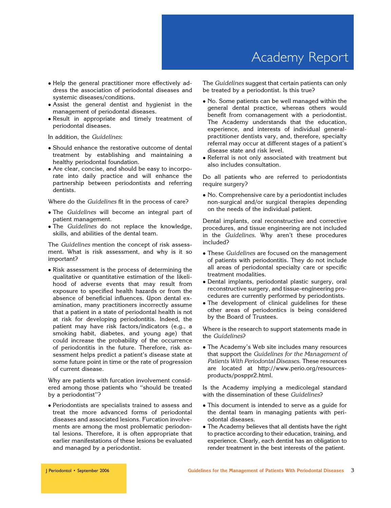## Academy Report

- Help the general practitioner more effectively address the association of periodontal diseases and systemic diseases/conditions.
- Assist the general dentist and hygienist in the management of periodontal diseases.
- Result in appropriate and timely treatment of periodontal diseases.

In addition, the Guidelines:

- Should enhance the restorative outcome of dental treatment by establishing and maintaining a healthy periodontal foundation.
- Are clear, concise, and should be easy to incorporate into daily practice and will enhance the partnership between periodontists and referring dentists.

Where do the Guidelines fit in the process of care?

- The Guidelines will become an integral part of patient management.
- The Guidelines do not replace the knowledge, skills, and abilities of the dental team.

The Guidelines mention the concept of risk assessment. What is risk assessment, and why is it so important?

- Risk assessment is the process of determining the qualitative or quantitative estimation of the likelihood of adverse events that may result from exposure to specified health hazards or from the absence of beneficial influences. Upon dental examination, many practitioners incorrectly assume that a patient in a state of periodontal health is not at risk for developing periodontitis. Indeed, the patient may have risk factors/indicators (e.g., a smoking habit, diabetes, and young age) that could increase the probability of the occurrence of periodontitis in the future. Therefore, risk assessment helps predict a patient's disease state at some future point in time or the rate of progression of current disease.

Why are patients with furcation involvement considered among those patients who ''should be treated by a periodontist''?

- Periodontists are specialists trained to assess and treat the more advanced forms of periodontal diseases and associated lesions. Furcation involvements are among the most problematic periodontal lesions. Therefore, it is often appropriate that earlier manifestations of these lesions be evaluated and managed by a periodontist.

The Guidelines suggest that certain patients can only be treated by a periodontist. Is this true?

- No. Some patients can be well managed within the general dental practice, whereas others would benefit from comanagement with a periodontist. The Academy understands that the education, experience, and interests of individual generalpractitioner dentists vary, and, therefore, specialty referral may occur at different stages of a patient's disease state and risk level.
- Referral is not only associated with treatment but also includes consultation.

Do all patients who are referred to periodontists require surgery?

- No. Comprehensive care by a periodontist includes non-surgical and/or surgical therapies depending on the needs of the individual patient.

Dental implants, oral reconstructive and corrective procedures, and tissue engineering are not included in the Guidelines. Why aren't these procedures included?

- These Guidelines are focused on the management of patients with periodontitis. They do not include all areas of periodontal specialty care or specific treatment modalities.
- Dental implants, periodontal plastic surgery, oral reconstructive surgery, and tissue-engineering procedures are currently performed by periodontists.
- The development of clinical guidelines for these other areas of periodontics is being considered by the Board of Trustees.

Where is the research to support statements made in the Guidelines?

- The Academy's Web site includes many resources that support the Guidelines for the Management of Patients With Periodontal Diseases. These resources are located at http://www.perio.org/resourcesproducts/posppr2.html.

Is the Academy implying a medicolegal standard with the dissemination of these Guidelines?

- This document is intended to serve as a guide for the dental team in managing patients with periodontal diseases.
- The Academy believes that all dentists have the right to practice according to their education, training, and experience. Clearly, each dentist has an obligation to render treatment in the best interests of the patient.